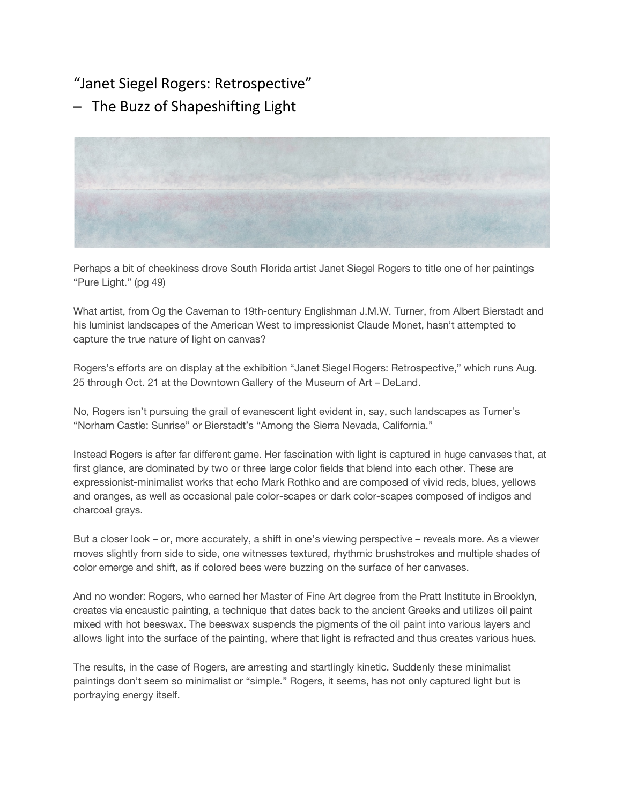## "Janet Siegel Rogers: Retrospective"

– The Buzz of Shapeshifting Light



Perhaps a bit of cheekiness drove South Florida artist Janet Siegel Rogers to title one of her paintings "Pure Light." (pg 49)

What artist, from Og the Caveman to 19th-century Englishman J.M.W. Turner, from Albert Bierstadt and his luminist landscapes of the American West to impressionist Claude Monet, hasn't attempted to capture the true nature of light on canvas?

Rogers's efforts are on display at the exhibition "Janet Siegel Rogers: Retrospective," which runs Aug. 25 through Oct. 21 at the Downtown Gallery of the Museum of Art – DeLand.

No, Rogers isn't pursuing the grail of evanescent light evident in, say, such landscapes as Turner's "Norham Castle: Sunrise" or Bierstadt's "Among the Sierra Nevada, California."

Instead Rogers is after far different game. Her fascination with light is captured in huge canvases that, at first glance, are dominated by two or three large color fields that blend into each other. These are expressionist-minimalist works that echo Mark Rothko and are composed of vivid reds, blues, yellows and oranges, as well as occasional pale color-scapes or dark color-scapes composed of indigos and charcoal grays.

But a closer look – or, more accurately, a shift in one's viewing perspective – reveals more. As a viewer moves slightly from side to side, one witnesses textured, rhythmic brushstrokes and multiple shades of color emerge and shift, as if colored bees were buzzing on the surface of her canvases.

And no wonder: Rogers, who earned her Master of Fine Art degree from the Pratt Institute in Brooklyn, creates via encaustic painting, a technique that dates back to the ancient Greeks and utilizes oil paint mixed with hot beeswax. The beeswax suspends the pigments of the oil paint into various layers and allows light into the surface of the painting, where that light is refracted and thus creates various hues.

The results, in the case of Rogers, are arresting and startlingly kinetic. Suddenly these minimalist paintings don't seem so minimalist or "simple." Rogers, it seems, has not only captured light but is portraying energy itself.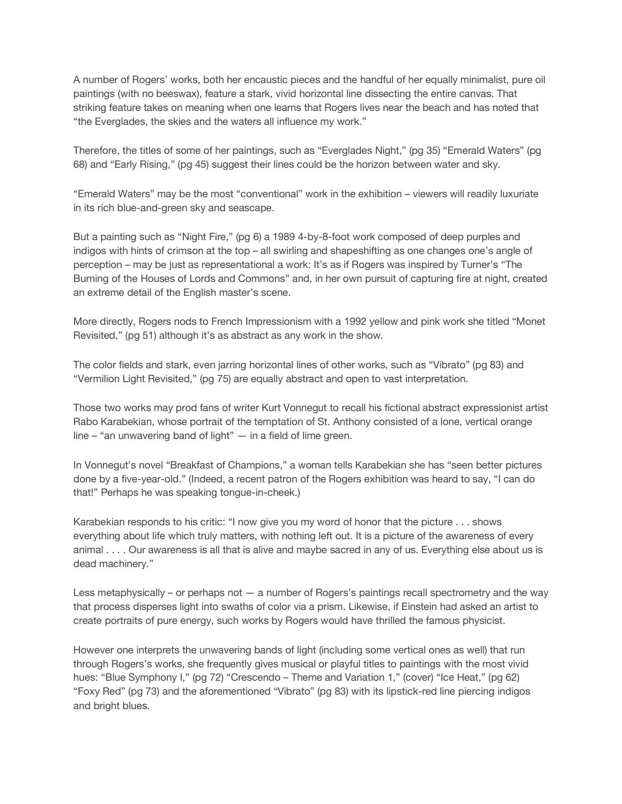A number of Rogers' works, both her encaustic pieces and the handful of her equally minimalist, pure oil paintings (with no beeswax), feature a stark, vivid horizontal line dissecting the entire canvas. That striking feature takes on meaning when one learns that Rogers lives near the beach and has noted that "the Everglades, the skies and the waters all influence my work."

Therefore, the titles of some of her paintings, such as "Everglades Night," (pg 35) "Emerald Waters" (pg 68) and "Early Rising," (pg 45) suggest their lines could be the horizon between water and sky.

"Emerald Waters" may be the most "conventional" work in the exhibition – viewers will readily luxuriate in its rich blue-and-green sky and seascape.

But a painting such as "Night Fire," (pg 6) a 1989 4-by-8-foot work composed of deep purples and indigos with hints of crimson at the top – all swirling and shapeshifting as one changes one's angle of perception – may be just as representational a work: It's as if Rogers was inspired by Turner's "The Burning of the Houses of Lords and Commons" and, in her own pursuit of capturing fire at night, created an extreme detail of the English master's scene.

More directly, Rogers nods to French Impressionism with a 1992 yellow and pink work she titled "Monet Revisited," (pg 51) although it's as abstract as any work in the show.

The color fields and stark, even jarring horizontal lines of other works, such as "Vibrato" (pg 83) and "Vermilion Light Revisited," (pg 75) are equally abstract and open to vast interpretation.

Those two works may prod fans of writer Kurt Vonnegut to recall his fictional abstract expressionist artist Rabo Karabekian, whose portrait of the temptation of St. Anthony consisted of a lone, vertical orange line – "an unwavering band of light" — in a field of lime green.

In Vonnegut's novel "Breakfast of Champions," a woman tells Karabekian she has "seen better pictures done by a five-year-old." (Indeed, a recent patron of the Rogers exhibition was heard to say, "I can do that!" Perhaps he was speaking tongue-in-cheek.)

Karabekian responds to his critic: "I now give you my word of honor that the picture . . . shows everything about life which truly matters, with nothing left out. It is a picture of the awareness of every animal . . . . Our awareness is all that is alive and maybe sacred in any of us. Everything else about us is dead machinery."

Less metaphysically – or perhaps not — a number of Rogers's paintings recall spectrometry and the way that process disperses light into swaths of color via a prism. Likewise, if Einstein had asked an artist to create portraits of pure energy, such works by Rogers would have thrilled the famous physicist.

However one interprets the unwavering bands of light (including some vertical ones as well) that run through Rogers's works, she frequently gives musical or playful titles to paintings with the most vivid hues: "Blue Symphony I," (pg 72) "Crescendo – Theme and Variation 1," (cover) "Ice Heat," (pg 62) "Foxy Red" (pg 73) and the aforementioned "Vibrato" (pg 83) with its lipstick-red line piercing indigos and bright blues.